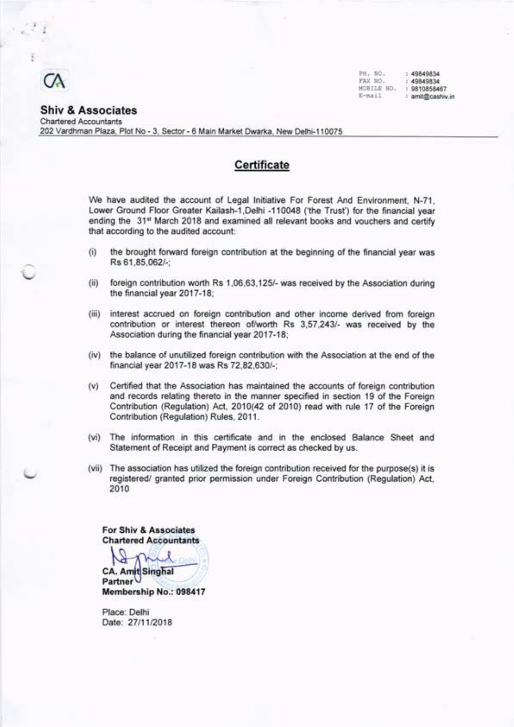

PB. llo. EAX NO. MOBILE tIO E-mail : 4984983,{  $: 49849834$ :981085E467 : amit@cashiv.in

#### Shiv & Associates Chartered Accountants 202 Vardhman Plaza, Plot No - 3, Sector - 6 Main Market Dwarka, New Delhi-110075

## **Certificate**

We have audited the account of Legal lnitiative For Forest And Environment, N-71, Lower Ground Floor Greater Kailash-1,Delhi -110048 ('the Trust') for the financial year ending the 31<sup>st</sup> March 2018 and examined all relevant books and vouchers and certify that according to the audited account:

- (i) the brought forward foreign contribution at the beginning of the financial year was Rs 61.85.062/-:
- (ii) foreign contribution worth Rs 1,06,63,125/- was received by the Association during the financial year 2017-18;
- (iii) interest accrued on foreign contribution and other income derived from foreign contribution or interest thereon of/worth Rs 3,57,243/- was received by the Association during the financial year 2017-18;
- (iv) the balance of unutilized foreign contribution with the Association at the end of the financial year 2017-18 was Rs 72,82,630/-;
- (v) Certified that the Association has maintained the accounts of foreign contribution and records relating thereto in the manner specified in section 19 of the Foreign Contribution (Regulation) Act, 2010(42 of 2010) read with rule 17 of the Foreign Contribution (Regulation) Rules, 2011.
- (vi) The information in this certificate and in the enclosed Balance Sheet and Statement of Receipt and Payment is correct as checked by us.
- (vii) The association has utilized the foreign contribution received for the purpose(s) it is registered/ granted prior permission under Foreign Contribution (Regulation) Act, 2010

For Shiv & Associates Chartered Accountants

**CA. Amit Singhal** Partner Membership No.: 098417

Place: Delhi Date: 27/11/2018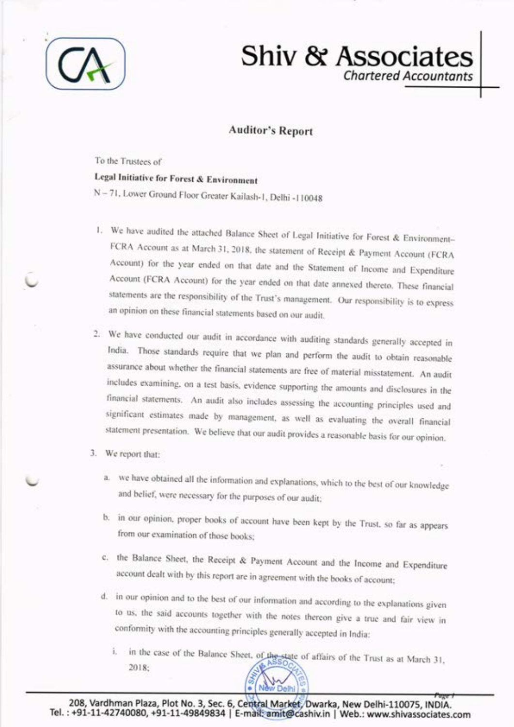

# Shiv & Associate **Chartered Accountants**

## **Auditor's Report**

To the Trustees of

## Legal Initiative for Forest & Environment

N-71, Lower Ground Floor Greater Kailash-1, Delhi -110048

- 1. We have audited the attached Balance Sheet of Legal Initiative for Forest & Environment-FCRA Account as at March 31, 2018, the statement of Receipt & Payment Account (FCRA Account) for the year ended on that date and the Statement of Income and Expenditure Account (FCRA Account) for the year ended on that date annexed thereto. These financial statements are the responsibility of the Trust's management. Our responsibility is to express an opinion on these financial statements based on our audit.
- 2. We have conducted our audit in accordance with auditing standards generally accepted in India. Those standards require that we plan and perform the audit to obtain reasonable assurance about whether the financial statements are free of material misstatement. An audit includes examining, on a test basis, evidence supporting the amounts and disclosures in the financial statements. An audit also includes assessing the accounting principles used and significant estimates made by management, as well as evaluating the overall financial statement presentation. We believe that our audit provides a reasonable basis for our opinion.
- 3. We report that:
	- a. we have obtained all the information and explanations, which to the best of our knowledge and belief, were necessary for the purposes of our audit;
	- b. in our opinion, proper books of account have been kept by the Trust, so far as appears from our examination of those books;
	- c. the Balance Sheet, the Receipt & Payment Account and the Income and Expenditure account dealt with by this report are in agreement with the books of account;
	- d. in our opinion and to the best of our information and according to the explanations given to us, the said accounts together with the notes thereon give a true and fair view in conformity with the accounting principles generally accepted in India:
		- i. in the case of the Balance Sheet, of the state of affairs of the Trust as at March 31, 2018: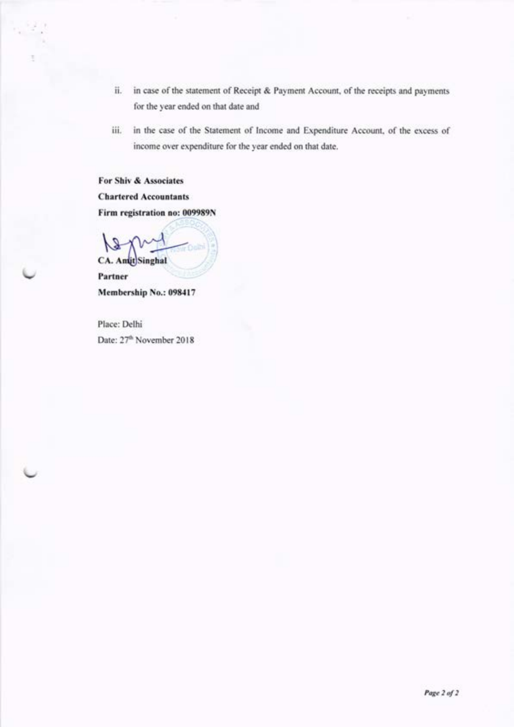- ii. in case of the statement of Receipt & Payment Account, of the receipts and payments for the year ended on that date and
- iii. in the case of the Statement of Income and Expenditure Account, of the excess of income over expenditure for the year ended on that date.

For Shiv & Associates Chartered Accountants Firm registration no: 009989N

**CA.** Amit Singhal

Partner Membership No.: 098417

Place: Delhi Date: 27'h November 2018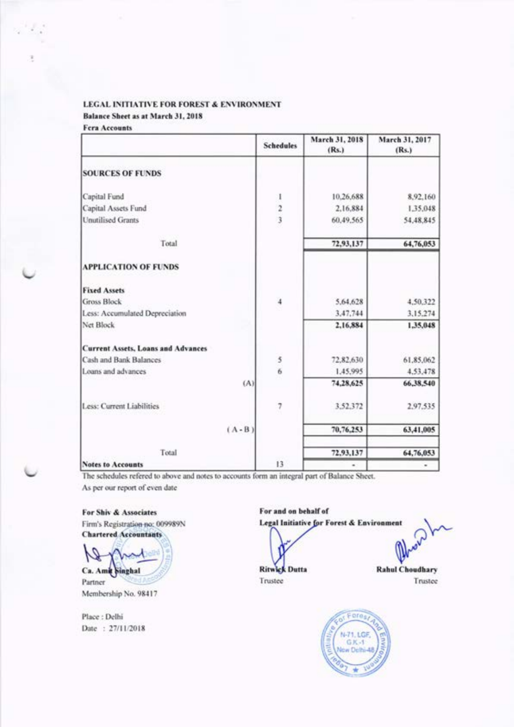Balance Sheet as at March 31, 2018

| <b>Fera Accounts</b> |  |
|----------------------|--|
|                      |  |

|                                           | <b>Schedules</b>                           | March 31, 2018<br>(Rs.) | March 31, 2017<br>(Rs.) |
|-------------------------------------------|--------------------------------------------|-------------------------|-------------------------|
| <b>SOURCES OF FUNDS</b>                   |                                            |                         |                         |
| Capital Fund                              |                                            | 10,26,688               | 8,92,160                |
| Capital Assets Fund                       | $\begin{array}{c} 1 \\ 2 \\ 3 \end{array}$ | 2.16,884                | 1.35,048                |
| <b>Unutilised Grants</b>                  |                                            | 60,49,565               | 54,48,845               |
| Total                                     |                                            | 72,93,137               | 64,76,053               |
| <b>APPLICATION OF FUNDS</b>               |                                            |                         |                         |
| <b>Fixed Assets</b>                       |                                            |                         |                         |
| Gross Block                               | $\overline{4}$                             | 5,64,628                | 4.50.322                |
| Less: Accumulated Depreciation            |                                            | 3,47,744                | 3.15.274                |
| Net Block                                 |                                            | 2,16,884                | 1,35,048                |
| <b>Current Assets, Loans and Advances</b> |                                            |                         |                         |
| Cash and Bank Balances                    | 5                                          | 72,82,630               | 61.85,062               |
| Loans and advances                        | $\overline{6}$                             | 1.45,995                | 4.53,478                |
| (A)                                       |                                            | 74,28,625               | 66,38,540               |
| Less: Current Liabilities                 | 7                                          | 3,52,372                | 2.97.535                |
| $(A - B)$                                 |                                            | 70,76,253               | 63,41,005               |
| Total                                     |                                            | 72,93,137               | 64,76,053               |
| <b>Notes to Accounts</b>                  | 13                                         |                         |                         |

The schedules refered to above and notes to accounts form an integral part of Balance Sheet.

As per our report of even date

For Shiv & Associates Firm's Registration no: 009989N **Chartered Accountants** 

Ca. Amit Singhal Partner Membership No. 98417

Place: Delhi Date: 27/11/2018

For and on behalf of Legal Initiative for Forest & Environment

**Ritwick Dutta** Trustee

**Rahul Choudhary** Trustee

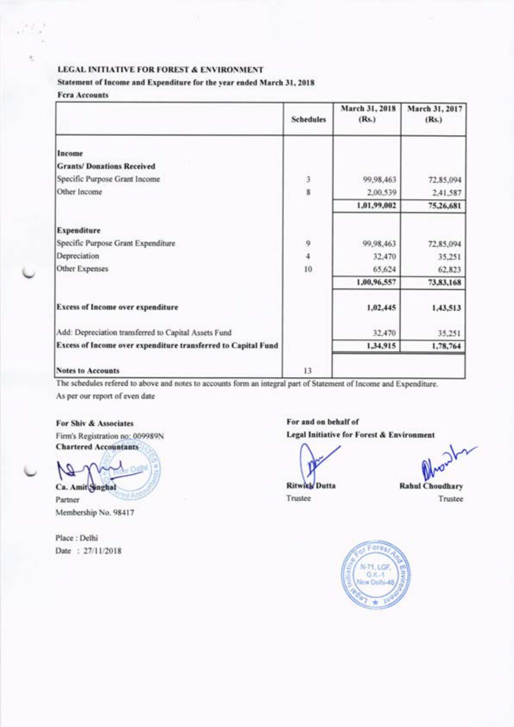#### Statement of Income and Expenditure for the year ended March 31, 2018

#### **Fera Accounts**

|                                                               | <b>Schedules</b> | March 31, 2018<br>(Rs.) | March 31, 2017<br>(Rs.) |
|---------------------------------------------------------------|------------------|-------------------------|-------------------------|
| Income                                                        |                  |                         |                         |
| <b>Grants/Donations Received</b>                              |                  |                         |                         |
| Specific Purpose Grant Income                                 |                  | 99,98,463               | 72,85,094               |
| Other Income                                                  | 3<br>8           | 2,00,539                | 2,41,587                |
|                                                               |                  | 1,01,99,002             | 75,26,681               |
| Expenditure                                                   |                  |                         |                         |
| Specific Purpose Grant Expenditure                            | 9                | 99,98,463               | 72,85,094               |
| Depreciation                                                  | $\frac{1}{4}$    | 32,470                  | 35,251                  |
| Other Expenses                                                | 10               | 65,624                  | 62,823                  |
|                                                               |                  | 1,00,96,557             | 73,83,168               |
| <b>Excess of Income over expenditure</b>                      |                  | 1,02,445                | 1,43,513                |
| Add: Depreciation transferred to Capital Assets Fund          |                  | 32,470                  | 35,251                  |
| Excess of Income over expenditure transferred to Capital Fund |                  | 1,34,915                | 1,78,764                |
| <b>Notes to Accounts</b>                                      | 13               |                         |                         |

The schedules refered to above and notes to accounts form an integral part of Statement of Income and Expenditure. As per our report of even date

For Shiv & Associates Firm's Registration no: 009989N

**Chartered Accountants** 

Ca. Amit Singhal

Partner Membership No. 98417

Place: Delhi Date: 27/11/2018 For and on behalf of Legal Initiative for Forest & Environment

**Ritwick Dutta** 

 $\sqrt{}$ 

Trustee

**Rahul Choudhary** Trustee

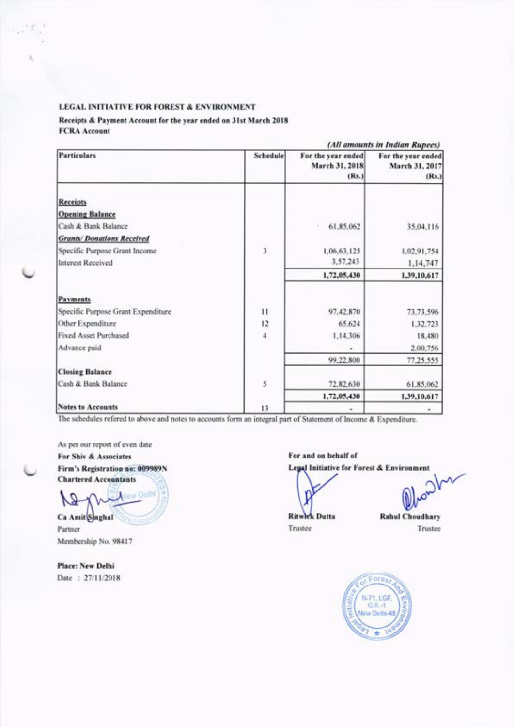#### Receipts & Payment Account for the year ended on 31st March 2018 **FCRA Account**

|                                    |              |                                               | (All amounts in Indian Rupees)                |
|------------------------------------|--------------|-----------------------------------------------|-----------------------------------------------|
| <b>Particulars</b>                 | Schedule     | For the year ended<br>March 31, 2018<br>(Rs.) | For the year ended<br>March 31, 2017<br>(Rs.) |
| Receipts                           |              |                                               |                                               |
| <b>Opening Balance</b>             |              |                                               |                                               |
| Cash & Bank Balance                |              | 61.85.062                                     | 35,04,116                                     |
| <b>Grants/Donations Received</b>   |              |                                               |                                               |
| Specific Purpose Grant Income      | 3            | 1,06,63,125                                   | 1,02,91,754                                   |
| Interest Received                  |              | 3,57,243                                      | 1,14,747                                      |
|                                    |              | 1,72,05,430                                   | 1,39,10,617                                   |
| Payments                           |              |                                               |                                               |
| Specific Purpose Grant Expenditure | $\mathbf{H}$ | 97.42.870                                     | 73,73,596                                     |
| Other Expenditure                  | 12           | 65.624                                        | 1,32,723                                      |
| <b>Fixed Asset Purchased</b>       | 4            | 1.14.306                                      | 18,480                                        |
| Advance paid                       |              | ÷                                             | 2,00,756                                      |
|                                    |              | 99.22.800                                     | 77,25,555                                     |
| <b>Closing Balance</b>             |              |                                               |                                               |
| Cash & Bank Balance                | 3            | 72,82,630                                     | 61.85.062                                     |
|                                    |              | 1,72,05,430                                   | 1.39.10.617                                   |
| <b>Notes to Accounts</b>           | 13           | ۰                                             |                                               |

The schedules refered to above and notes to accounts form an integral part of Statement of Income & Expenditure.

As per our report of even date For Shiv & Associates Firm's Registration no: 009989N **Chartered Accountants** 

New De Ca Amit Singhal

Partner Membership No. 98417

**Place: New Delhi** Date: 27/11/2018 For and on behalf of

Legal Initiative for Forest & Environment

*V* 

**Ritwick Dutta** Trustee

**Rahul Choudhary** Trustee

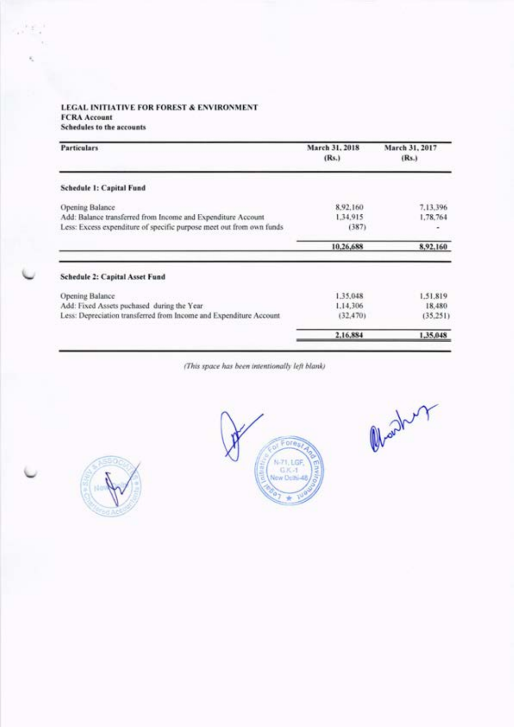## LEGAL INITIATIVE FOR FOREST & ENVIRONMENT **FCRA** Account

Schedules to the accounts

| <b>Particulars</b>                                                                                                                   | March 31, 2018<br>(Rs.) | March 31, 2017<br>(Rs.) |
|--------------------------------------------------------------------------------------------------------------------------------------|-------------------------|-------------------------|
| Schedule 1: Capital Fund                                                                                                             |                         |                         |
| Opening Balance                                                                                                                      | 8.92.160                | 7,13,396                |
| Add: Balance transferred from Income and Expenditure Account<br>Less: Excess expenditure of specific purpose meet out from own funds | 1,34,915<br>(387)       | 1,78,764                |
|                                                                                                                                      | 10,26,688               | 8,92,160                |
| Schedule 2: Capital Asset Fund                                                                                                       |                         |                         |
| Opening Balance                                                                                                                      | 1.35.048                | 1.51.819                |
| Add: Fixed Assets puchased during the Year                                                                                           | 1.14.306                | 18,480                  |
| Less: Depreciation transferred from Income and Expenditure Account                                                                   | (32, 470)               | (35.251)                |
|                                                                                                                                      | 2,16,884                | 1,35,048                |

(This space has been intentionally left blank)





Charles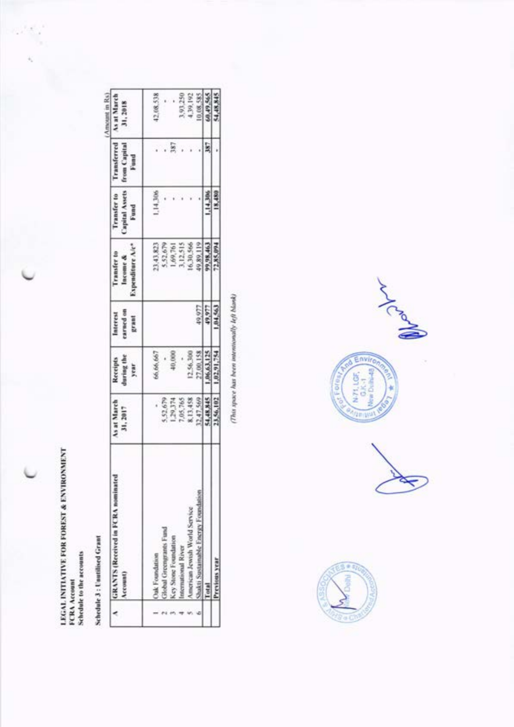LEGAL INITIATIVE FOR FOREST & ENVIRONMENT<br>FCRA Account<br>Schedule to the accounts

 $\gamma$ 

(Amount in Rs)

Schedule 3 : Unutilised Grant

| $\overline{\phantom{a}}$ | GRANTS (Received in FCRA nominated<br>Account) | As at March<br>31, 2017 | Receipts<br>during the<br>year | Interest<br>carned on<br>grant | Expenditure A/c*<br>Transfer to<br>Income & | transfer to<br>apital Assets<br>Fund | <b>Transferred</b><br><b>Trom Capital</b><br>Fund | As at March<br>31,2018 |
|--------------------------|------------------------------------------------|-------------------------|--------------------------------|--------------------------------|---------------------------------------------|--------------------------------------|---------------------------------------------------|------------------------|
|                          |                                                |                         |                                |                                |                                             |                                      |                                                   |                        |
|                          | Oak Foundation                                 |                         | 66.66.667                      |                                |                                             | 14,306                               |                                                   | 12,08,538              |
|                          | slobal Greengrants Fund                        | 5,52,679                |                                |                                | 23,43,823<br>5.52,679                       |                                      |                                                   |                        |
|                          | Key Stone Foundation                           | 1,29,374                |                                |                                |                                             |                                      | 387                                               |                        |
|                          | stermational River                             | 7,05,765                |                                |                                | 1,69,761<br>3,12,515                        |                                      |                                                   |                        |
|                          | American Jewish World Service                  | 8,13,458                | 256,300                        |                                | 6,30,566                                    |                                      |                                                   | 1,93,250<br>4,39,192   |
|                          | Shakti Sustainable Energy Foundatio            | 12,47,569               | 381.00                         | 49,977                         | 9,89,119                                    |                                      |                                                   | 0,08,585               |
|                          |                                                | 14,48,845               | 1.06,63,125                    | 49,977                         | 9,98,463                                    | 14,386                               | ls:                                               |                        |
|                          |                                                | 3.56,102                | 1,02,91,754                    | 84.563                         | 2,85,094                                    | 18,480                               |                                                   | 41,48,845              |

 $\varpi$  and the state of the state of the state of the state of the state of the state of the state of the state of the state of the state of the state of the state of the state of the state of the state of the state of the



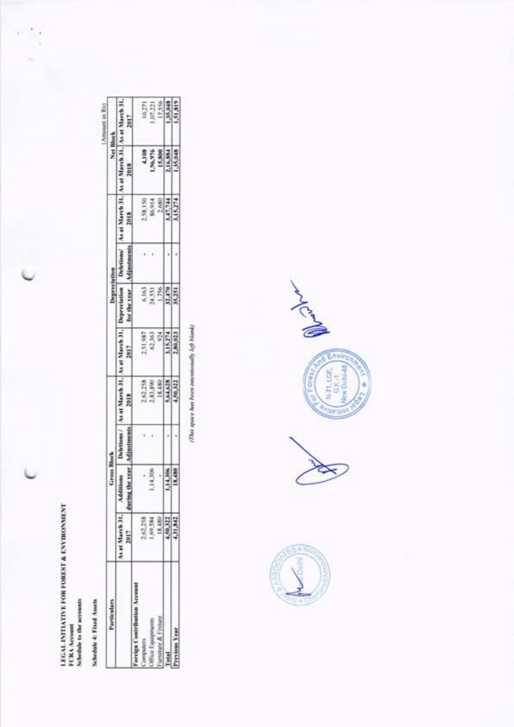LEGAL INITIATIVE FOR FOREST & ENVIRONMENT<br>FCRA Account<br>Schedule to the accounts

Schedule 4: Fixed Assets

| 'articulars |                 |  |                      |                       |      |                          |                                         | <b>Net Block</b>             |
|-------------|-----------------|--|----------------------|-----------------------|------|--------------------------|-----------------------------------------|------------------------------|
|             | As at March 31, |  | Cat March 31         | vat March 31.<br>7002 |      | s at March 31            | 盖                                       | larch 3<br>2017              |
|             |                 |  |                      |                       |      |                          |                                         |                              |
|             |                 |  |                      | 51,987                |      |                          |                                         |                              |
|             | 69,584          |  | 2,62,258<br>2,83,890 | 62,363<br>924         |      |                          |                                         |                              |
|             | 18,480          |  | 18,480               |                       | 3588 | 333874<br>83974<br>34255 | 4,188<br>1,96,976<br>15,580<br>1,16,884 | 1971<br>1973<br>1988<br>1988 |
|             | 50,322          |  | 5,64,628             | 15,274                |      |                          |                                         |                              |
|             |                 |  |                      | 80,023                |      |                          |                                         |                              |

(This space has been intensionally left blank)



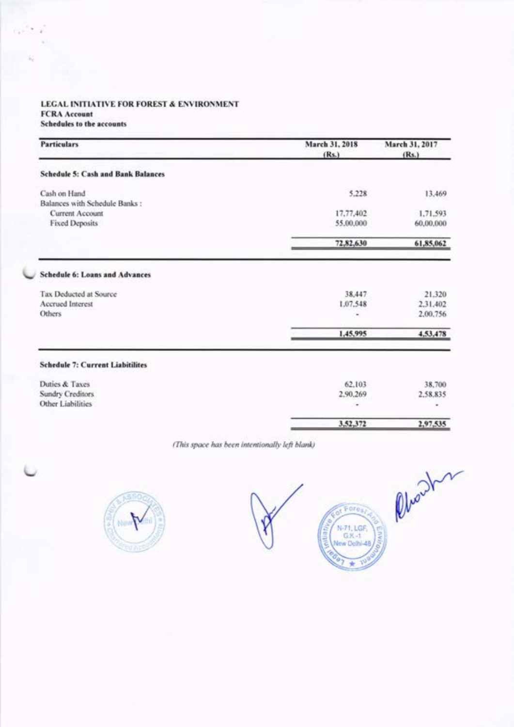### LEGAL INITIATIVE FOR FOREST & ENVIRONMENT **FCRA Account**

Schedules to the accounts

| <b>Particulars</b>                        | March 31, 2018<br>(Rs.) | March 31, 2017<br>(Rs.) |
|-------------------------------------------|-------------------------|-------------------------|
| <b>Schedule 5: Cash and Bank Balances</b> |                         |                         |
| Cash on Hand                              | 5.228                   | 13,469                  |
| Balances with Schedule Banks:             |                         |                         |
| Current Account                           | 17,77,402               | 1,71,593                |
| <b>Fixed Deposits</b>                     | 55,00,000               | 60,00,000               |
|                                           | 72,82,630               | 61,85,062               |
| <b>Schedule 6: Loans and Advances</b>     |                         |                         |
| Tax Deducted at Source                    | 38,447                  | 21.320                  |
| <b>Accrued Interest</b>                   | 1.07.548                | 2.31.402                |
| Others                                    | ۰                       | 2.00.756                |
|                                           | 1,45,995                | 4,53,478                |
| <b>Schedule 7: Current Liabitilites</b>   |                         |                         |
| Duties & Taxes                            | 62.103                  | 38,700                  |
| Sundry Creditors                          | 2.90.269                | 2,58,835                |
| Other Liabilities                         | ۰                       | ٠                       |
|                                           | 3,52,372                | 2,97,535                |

(This space has been intentionally left blank)





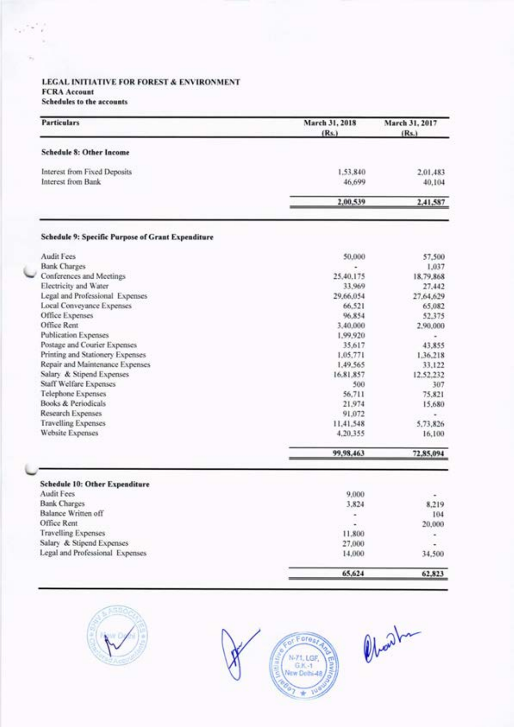#### LEGAL INITIATIVE FOR FOREST & ENVIRONMENT **FCRA** Account Schedules to the accounts

| <b>Particulars</b>                                | March 31, 2018<br>(Rs.) | March 31, 2017<br>(Rs.) |
|---------------------------------------------------|-------------------------|-------------------------|
| <b>Schedule 8: Other Income</b>                   |                         |                         |
| Interest from Fixed Deposits                      | 1.53,840                | 2.01.483                |
| Interest from Bank                                | 46,699                  | 40,104                  |
|                                                   | 2,00,539                | 2,41,587                |
| Schedule 9: Specific Purpose of Grant Expenditure |                         |                         |
| <b>Audit Fees</b>                                 | 50,000                  | 57,500                  |
| <b>Bank Charges</b>                               |                         | 1,037                   |
| Conferences and Meetings                          | 25,40,175               | 18,79,868               |
| Electricity and Water                             | 33,969                  | 27,442                  |
| Legal and Professional Expenses                   | 29,66,054               | 27.64.629               |
| Local Conveyance Expenses                         | 66,521                  | 65,082                  |
| Office Expenses                                   | 96,854                  | 52,375                  |
| Office Rent                                       | 3,40,000                | 2,90,000                |
| <b>Publication Expenses</b>                       | 1.99,920                | ۰                       |
| Postage and Courier Expenses                      | 35,617                  | 43,855                  |
| Printing and Stationery Expenses                  | 1.05.771                | 1.36.218                |
| Repair and Maintenance Expenses                   | 1,49,565                | 33.122                  |
| Salary & Stipend Expenses                         | 16.81.857               | 12.52.232               |
| <b>Staff Welfare Expenses</b>                     | 500                     | 307                     |
| Telephone Expenses                                | 56,711                  | 75,821                  |
| Books & Periodicals                               | 21,974                  | 15,680                  |
| Research Expenses                                 | 91,072                  | ۰                       |
| <b>Travelling Expenses</b>                        | 11,41,548               | 5,73,826                |
| <b>Website Expenses</b>                           | 4,20,355                | 16,100                  |
|                                                   | 99,98,463               | 72,85,094               |
| <b>Schedule 10: Other Expenditure</b>             |                         |                         |
| Audit Fees                                        | 9,000                   |                         |
| <b>Bank Charges</b>                               | 3,824                   | 8,219                   |
| Balance Written off                               |                         | 104                     |
| Office Rent                                       |                         | 20,000                  |
| <b>Travelling Expenses</b>                        | 11,800                  | ۰                       |
| Salary & Stipend Expenses                         | 27,000                  |                         |
| Legal and Professional Expenses                   | 14,000                  | 34,500                  |
|                                                   | 65,624                  | 62.823                  |





Obart